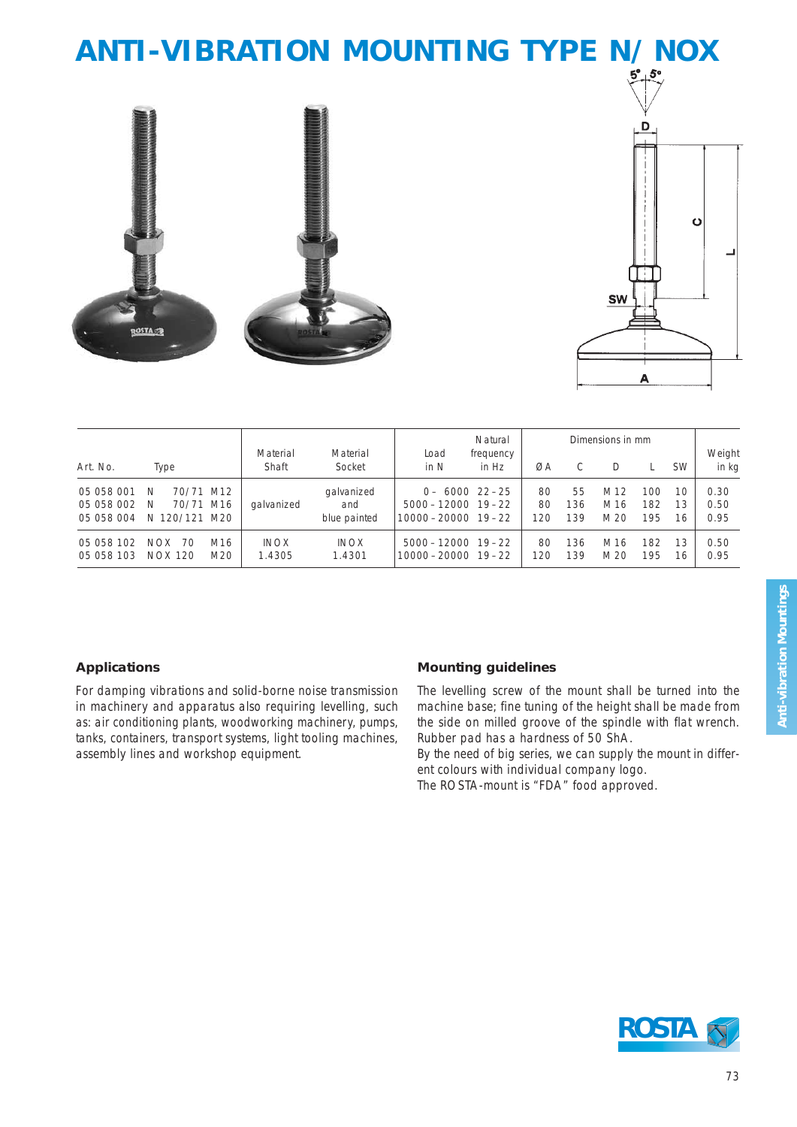# **ANTI-VIBRATION MOUNTING TYPE N/NOX**





|                                        | Type                                             |                        |                       |                                   | Natural                                                                   | Dimensions in mm   |                 |                  |                                 |                    |                |                      |
|----------------------------------------|--------------------------------------------------|------------------------|-----------------------|-----------------------------------|---------------------------------------------------------------------------|--------------------|-----------------|------------------|---------------------------------|--------------------|----------------|----------------------|
| Art. No.                               |                                                  |                        | Material<br>Shaft     | Material<br>Socket                | Load<br>in N                                                              | frequency<br>in Hz | ØA              |                  |                                 |                    | <b>SW</b>      | Weight<br>in kg      |
| 05 058 001<br>05 058 002<br>05 058 004 | 70/71<br><sup>N</sup><br>70/71<br>N<br>N 120/121 | M12<br>M16<br>M20      | galvanized            | galvanized<br>and<br>blue painted | $0 - 6000$ 22-25<br>$5000 - 12000$ $19 - 22$<br>$10000 - 20000$ $19 - 22$ |                    | 80<br>80<br>120 | 55<br>136<br>139 | M 12<br>M <sub>16</sub><br>M 20 | 100.<br>182<br>195 | 10<br>13<br>16 | 0.30<br>0.50<br>0.95 |
| 05 058 102<br>05 058 103               | <b>NOX</b><br>70<br>NOX 120                      | M <sub>16</sub><br>M20 | <b>INOX</b><br>1.4305 | <b>INOX</b><br>1.4301             | $5000 - 12000$ 19-22<br>$10000 - 20000$ $19 - 22$                         |                    | 80<br>120       | 136<br>139       | M <sub>16</sub><br>M 20         | 182<br>195         | 13<br>16       | 0.50<br>0.95         |

### **Applications**

For damping vibrations and solid-borne noise transmission in machinery and apparatus also requiring levelling, such as: air conditioning plants, woodworking machinery, pumps, tanks, containers, transport systems, light tooling machines, assembly lines and workshop equipment.

#### **Mounting guidelines**

The levelling screw of the mount shall be turned into the machine base; fine tuning of the height shall be made from the side on milled groove of the spindle with flat wrench. Rubber pad has a hardness of 50 ShA.

By the need of big series, we can supply the mount in different colours with individual company logo.

The ROSTA-mount is "FDA" food approved.